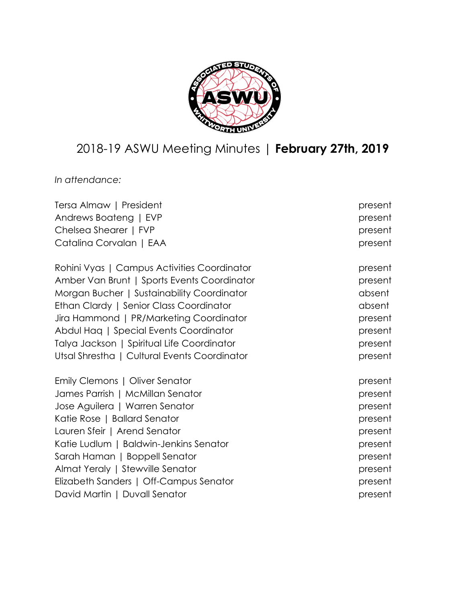

# 2018-19 ASWU Meeting Minutes | **February 27th, 2019**

*In attendance:*

| Tersa Almaw   President                      | present |
|----------------------------------------------|---------|
| Andrews Boateng   EVP                        | present |
| Chelsea Shearer   FVP                        | present |
| Catalina Corvalan   EAA                      | present |
| Rohini Vyas   Campus Activities Coordinator  | present |
| Amber Van Brunt   Sports Events Coordinator  | present |
| Morgan Bucher   Sustainability Coordinator   | absent  |
| Ethan Clardy   Senior Class Coordinator      | absent  |
| Jira Hammond   PR/Marketing Coordinator      | present |
| Abdul Haq   Special Events Coordinator       | present |
| Talya Jackson   Spiritual Life Coordinator   | present |
| Utsal Shrestha   Cultural Events Coordinator | present |
| Emily Clemons   Oliver Senator               | present |
| James Parrish   McMillan Senator             | present |
| Jose Aguilera   Warren Senator               | present |
| Katie Rose   Ballard Senator                 | present |
| Lauren Sfeir   Arend Senator                 | present |
| Katie Ludlum   Baldwin-Jenkins Senator       | present |
| Sarah Haman   Boppell Senator                | present |
| Almat Yeraly   Stewville Senator             | present |
| Elizabeth Sanders   Off-Campus Senator       | present |
| David Martin   Duvall Senator                | present |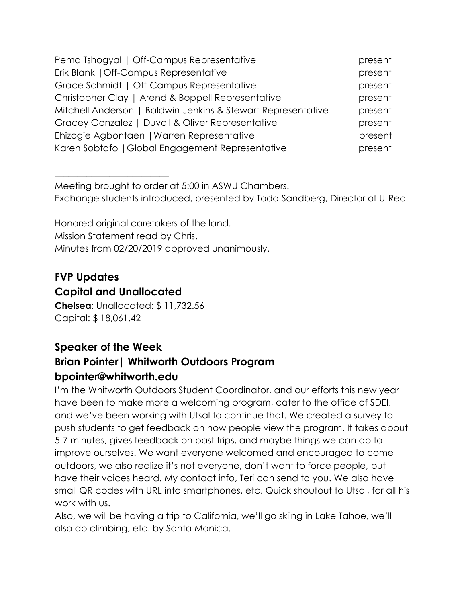| Pema Tshogyal   Off-Campus Representative                    | present |
|--------------------------------------------------------------|---------|
| Erik Blank   Off-Campus Representative                       | present |
| Grace Schmidt   Off-Campus Representative                    | present |
| Christopher Clay   Arend & Boppell Representative            | present |
| Mitchell Anderson   Baldwin-Jenkins & Stewart Representative | present |
| Gracey Gonzalez   Duvall & Oliver Representative             | present |
| Ehizogie Agbontaen   Warren Representative                   | present |
| Karen Sobtafo   Global Engagement Representative             | present |

Meeting brought to order at 5:00 in ASWU Chambers. Exchange students introduced, presented by Todd Sandberg, Director of U-Rec.

Honored original caretakers of the land. Mission Statement read by Chris. Minutes from 02/20/2019 approved unanimously.

#### **FVP Updates Capital and Unallocated**

 $\overline{\phantom{a}}$  , where  $\overline{\phantom{a}}$  , where  $\overline{\phantom{a}}$  , where  $\overline{\phantom{a}}$  , where  $\overline{\phantom{a}}$ 

**Chelsea**: Unallocated: \$ 11,732.56 Capital: \$ 18,061.42

# **Speaker of the Week Brian Pointer| Whitworth Outdoors Program bpointer@whitworth.edu**

I'm the Whitworth Outdoors Student Coordinator, and our efforts this new year have been to make more a welcoming program, cater to the office of SDEI, and we've been working with Utsal to continue that. We created a survey to push students to get feedback on how people view the program. It takes about 5-7 minutes, gives feedback on past trips, and maybe things we can do to improve ourselves. We want everyone welcomed and encouraged to come outdoors, we also realize it's not everyone, don't want to force people, but have their voices heard. My contact info, Teri can send to you. We also have small QR codes with URL into smartphones, etc. Quick shoutout to Utsal, for all his work with us.

Also, we will be having a trip to California, we'll go skiing in Lake Tahoe, we'll also do climbing, etc. by Santa Monica.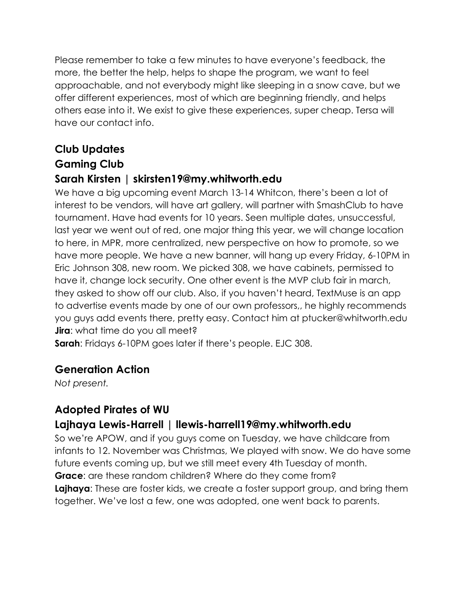Please remember to take a few minutes to have everyone's feedback, the more, the better the help, helps to shape the program, we want to feel approachable, and not everybody might like sleeping in a snow cave, but we offer different experiences, most of which are beginning friendly, and helps others ease into it. We exist to give these experiences, super cheap. Tersa will have our contact info.

# **Club Updates**

# **Gaming Club**

#### **Sarah Kirsten | skirsten19@my.whitworth.edu**

We have a big upcoming event March 13-14 Whitcon, there's been a lot of interest to be vendors, will have art gallery, will partner with SmashClub to have tournament. Have had events for 10 years. Seen multiple dates, unsuccessful, last year we went out of red, one major thing this year, we will change location to here, in MPR, more centralized, new perspective on how to promote, so we have more people. We have a new banner, will hang up every Friday, 6-10PM in Eric Johnson 308, new room. We picked 308, we have cabinets, permissed to have it, change lock security. One other event is the MVP club fair in march, they asked to show off our club. Also, if you haven't heard, TextMuse is an app to advertise events made by one of our own professors,, he highly recommends you guys add events there, pretty easy. Contact him at ptucker@whitworth.edu **Jira**: what time do you all meet?

**Sarah**: Fridays 6-10PM goes later if there's people. EJC 308.

## **Generation Action**

*Not present.*

# **Adopted Pirates of WU**

## **Lajhaya Lewis-Harrell | llewis-harrell19@my.whitworth.edu**

So we're APOW, and if you guys come on Tuesday, we have childcare from infants to 12. November was Christmas, We played with snow. We do have some future events coming up, but we still meet every 4th Tuesday of month. **Grace**: are these random children? Where do they come from? **Lajhaya**: These are foster kids, we create a foster support group, and bring them together. We've lost a few, one was adopted, one went back to parents.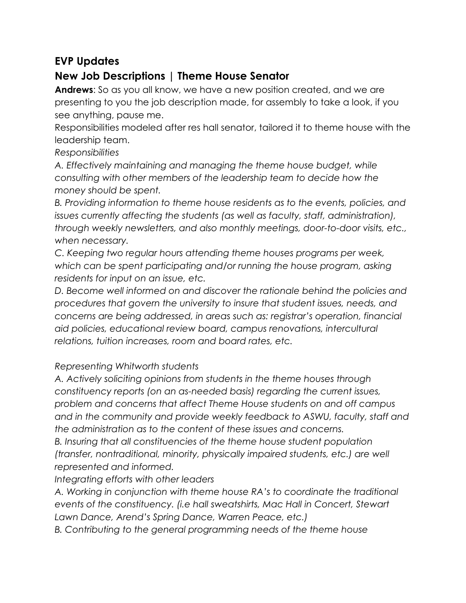## **EVP Updates**

## **New Job Descriptions | Theme House Senator**

**Andrews**: So as you all know, we have a new position created, and we are presenting to you the job description made, for assembly to take a look, if you see anything, pause me.

Responsibilities modeled after res hall senator, tailored it to theme house with the leadership team.

*Responsibilities*

*A. Effectively maintaining and managing the theme house budget, while consulting with other members of the leadership team to decide how the money should be spent.*

*B. Providing information to theme house residents as to the events, policies, and issues currently affecting the students (as well as faculty, staff, administration), through weekly newsletters, and also monthly meetings, door-to-door visits, etc., when necessary.*

*C. Keeping two regular hours attending theme houses programs per week, which can be spent participating and/or running the house program, asking residents for input on an issue, etc.*

*D. Become well informed on and discover the rationale behind the policies and procedures that govern the university to insure that student issues, needs, and concerns are being addressed, in areas such as: registrar's operation, financial aid policies, educational review board, campus renovations, intercultural relations, tuition increases, room and board rates, etc.*

#### *Representing Whitworth students*

*A. Actively soliciting opinions from students in the theme houses through constituency reports (on an as-needed basis) regarding the current issues, problem and concerns that affect Theme House students on and off campus and in the community and provide weekly feedback to ASWU, faculty, staff and the administration as to the content of these issues and concerns.*

*B. Insuring that all constituencies of the theme house student population (transfer, nontraditional, minority, physically impaired students, etc.) are well represented and informed.*

#### *Integrating efforts with other leaders*

*A. Working in conjunction with theme house RA's to coordinate the traditional events of the constituency. (i.e hall sweatshirts, Mac Hall in Concert, Stewart Lawn Dance, Arend's Spring Dance, Warren Peace, etc.)*

*B. Contributing to the general programming needs of the theme house*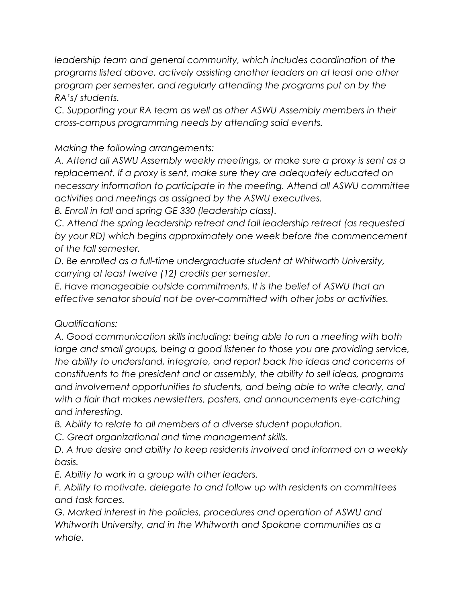*leadership team and general community, which includes coordination of the programs listed above, actively assisting another leaders on at least one other program per semester, and regularly attending the programs put on by the RA's/ students.*

*C. Supporting your RA team as well as other ASWU Assembly members in their cross-campus programming needs by attending said events.*

*Making the following arrangements:*

*A. Attend all ASWU Assembly weekly meetings, or make sure a proxy is sent as a replacement. If a proxy is sent, make sure they are adequately educated on necessary information to participate in the meeting. Attend all ASWU committee activities and meetings as assigned by the ASWU executives.*

*B. Enroll in fall and spring GE 330 (leadership class).*

*C. Attend the spring leadership retreat and fall leadership retreat (as requested by your RD) which begins approximately one week before the commencement of the fall semester.*

*D. Be enrolled as a full-time undergraduate student at Whitworth University, carrying at least twelve (12) credits per semester.*

*E. Have manageable outside commitments. It is the belief of ASWU that an effective senator should not be over-committed with other jobs or activities.*

*Qualifications:*

*A. Good communication skills including: being able to run a meeting with both large and small groups, being a good listener to those you are providing service, the ability to understand, integrate, and report back the ideas and concerns of constituents to the president and or assembly, the ability to sell ideas, programs and involvement opportunities to students, and being able to write clearly, and with a flair that makes newsletters, posters, and announcements eye-catching and interesting.*

*B. Ability to relate to all members of a diverse student population.*

*C. Great organizational and time management skills.*

*D. A true desire and ability to keep residents involved and informed on a weekly basis.*

*E. Ability to work in a group with other leaders.*

*F. Ability to motivate, delegate to and follow up with residents on committees and task forces.*

*G. Marked interest in the policies, procedures and operation of ASWU and Whitworth University, and in the Whitworth and Spokane communities as a whole.*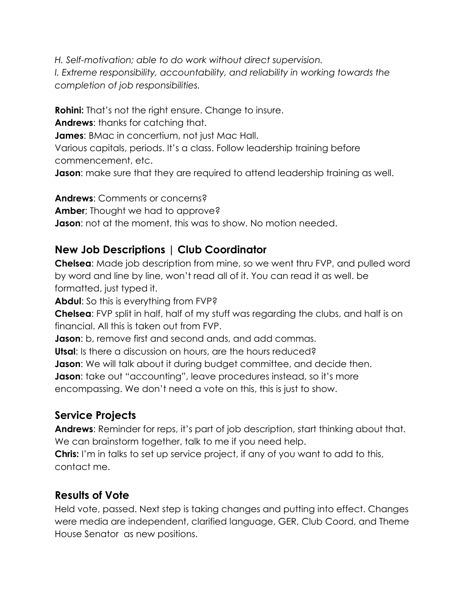*H. Self-motivation; able to do work without direct supervision. I. Extreme responsibility, accountability, and reliability in working towards the completion of job responsibilities.*

**Rohini:** That's not the right ensure. Change to insure.

**Andrews**: thanks for catching that.

**James**: BMac in concertium, not just Mac Hall.

Various capitals, periods. It's a class. Follow leadership training before commencement, etc.

**Jason:** make sure that they are required to attend leadership training as well.

**Andrews**: Comments or concerns? **Amber**; Thought we had to approve? **Jason**: not at the moment, this was to show. No motion needed.

#### **New Job Descriptions | Club Coordinator**

**Chelsea**: Made job description from mine, so we went thru FVP, and pulled word by word and line by line, won't read all of it. You can read it as well. be formatted, just typed it.

**Abdul**: So this is everything from FVP?

**Chelsea**: FVP split in half, half of my stuff was regarding the clubs, and half is on financial. All this is taken out from FVP.

**Jason**: b, remove first and second ands, and add commas.

**Utsal**: Is there a discussion on hours, are the hours reduced?

**Jason:** We will talk about it during budget committee, and decide then.

**Jason**: take out "accounting", leave procedures instead, so it's more

encompassing. We don't need a vote on this, this is just to show.

## **Service Projects**

**Andrews**: Reminder for reps, it's part of job description, start thinking about that. We can brainstorm together, talk to me if you need help.

**Chris:** I'm in talks to set up service project, if any of you want to add to this, contact me.

## **Results of Vote**

Held vote, passed. Next step is taking changes and putting into effect. Changes were media are independent, clarified language, GER, Club Coord, and Theme House Senator as new positions.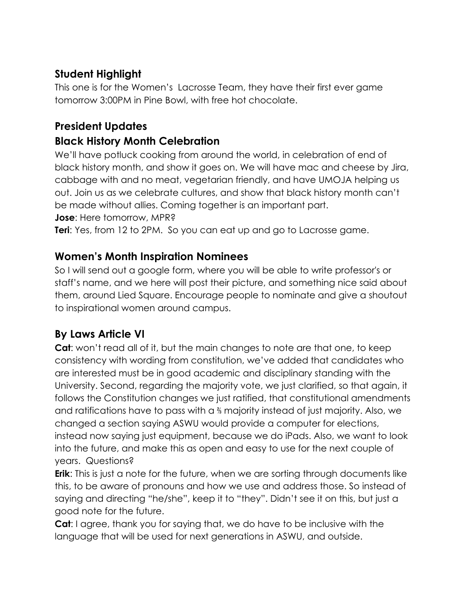# **Student Highlight**

This one is for the Women's Lacrosse Team, they have their first ever game tomorrow 3:00PM in Pine Bowl, with free hot chocolate.

# **President Updates**

# **Black History Month Celebration**

We'll have potluck cooking from around the world, in celebration of end of black history month, and show it goes on. We will have mac and cheese by Jira, cabbage with and no meat, vegetarian friendly, and have UMOJA helping us out. Join us as we celebrate cultures, and show that black history month can't be made without allies. Coming together is an important part.

**Jose**: Here tomorrow, MPR?

**Teri**: Yes, from 12 to 2PM. So you can eat up and go to Lacrosse game.

# **Women's Month Inspiration Nominees**

So I will send out a google form, where you will be able to write professor's or staff's name, and we here will post their picture, and something nice said about them, around Lied Square. Encourage people to nominate and give a shoutout to inspirational women around campus.

# **By Laws Article VI**

**Cat:** won't read all of it, but the main changes to note are that one, to keep consistency with wording from constitution, we've added that candidates who are interested must be in good academic and disciplinary standing with the University. Second, regarding the majority vote, we just clarified, so that again, it follows the Constitution changes we just ratified, that constitutional amendments and ratifications have to pass with a ⅔ majority instead of just majority. Also, we changed a section saying ASWU would provide a computer for elections, instead now saying just equipment, because we do iPads. Also, we want to look into the future, and make this as open and easy to use for the next couple of years. Questions?

**Erik**: This is just a note for the future, when we are sorting through documents like this, to be aware of pronouns and how we use and address those. So instead of saying and directing "he/she", keep it to "they". Didn't see it on this, but just a good note for the future.

**Cat**: I agree, thank you for saying that, we do have to be inclusive with the language that will be used for next generations in ASWU, and outside.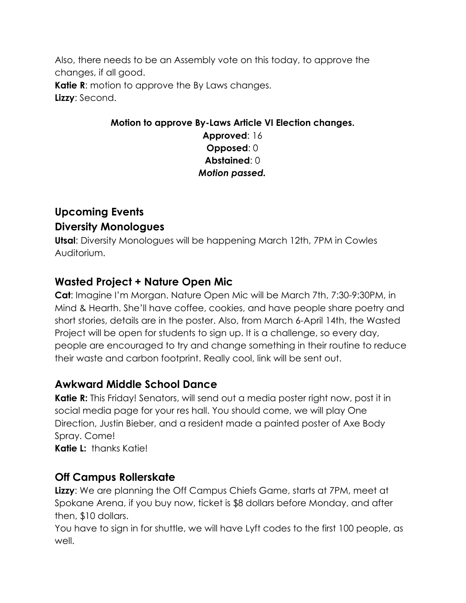Also, there needs to be an Assembly vote on this today, to approve the changes, if all good. **Katie R:** motion to approve the By Laws changes. **Lizzy**: Second.

#### **Motion to approve By-Laws Article VI Election changes. Approved**: 16 **Opposed**: 0 **Abstained**: 0 *Motion passed.*

# **Upcoming Events Diversity Monologues**

**Utsal**: Diversity Monologues will be happening March 12th, 7PM in Cowles Auditorium.

# **Wasted Project + Nature Open Mic**

**Cat**: Imagine I'm Morgan. Nature Open Mic will be March 7th, 7:30-9:30PM, in Mind & Hearth. She'll have coffee, cookies, and have people share poetry and short stories, details are in the poster. Also, from March 6-April 14th, the Wasted Project will be open for students to sign up. It is a challenge, so every day, people are encouraged to try and change something in their routine to reduce their waste and carbon footprint. Really cool, link will be sent out.

## **Awkward Middle School Dance**

**Katie R:** This Friday! Senators, will send out a media poster right now, post it in social media page for your res hall. You should come, we will play One Direction, Justin Bieber, and a resident made a painted poster of Axe Body Spray. Come!

**Katie L:** thanks Katie!

# **Off Campus Rollerskate**

**Lizzy**: We are planning the Off Campus Chiefs Game, starts at 7PM, meet at Spokane Arena, if you buy now, ticket is \$8 dollars before Monday, and after then, \$10 dollars.

You have to sign in for shuttle, we will have Lyft codes to the first 100 people, as well.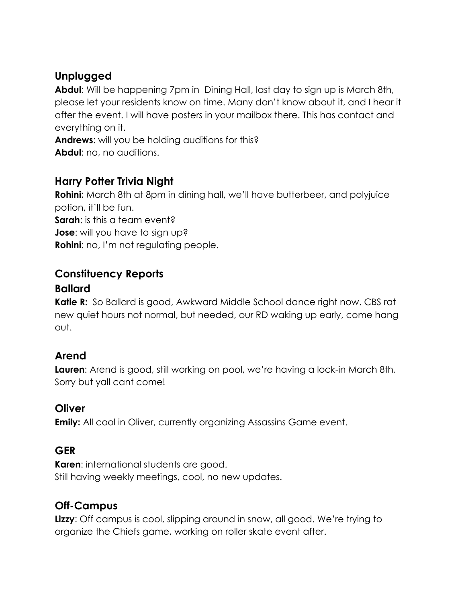# **Unplugged**

**Abdul**: Will be happening 7pm in Dining Hall, last day to sign up is March 8th, please let your residents know on time. Many don't know about it, and I hear it after the event. I will have posters in your mailbox there. This has contact and everything on it.

**Andrews**: will you be holding auditions for this? **Abdul**: no, no auditions.

# **Harry Potter Trivia Night**

**Rohini:** March 8th at 8pm in dining hall, we'll have butterbeer, and polyjuice potion, it'll be fun.

**Sarah:** is this a team event?

**Jose**: will you have to sign up?

**Rohini:** no, I'm not regulating people.

#### **Constituency Reports**

#### **Ballard**

**Katie R:** So Ballard is good, Awkward Middle School dance right now. CBS rat new quiet hours not normal, but needed, our RD waking up early, come hang out.

## **Arend**

**Lauren**: Arend is good, still working on pool, we're having a lock-in March 8th. Sorry but yall cant come!

#### **Oliver**

**Emily:** All cool in Oliver, currently organizing Assassins Game event.

#### **GER**

**Karen**: international students are good. Still having weekly meetings, cool, no new updates.

## **Off-Campus**

**Lizzy**: Off campus is cool, slipping around in snow, all good. We're trying to organize the Chiefs game, working on roller skate event after.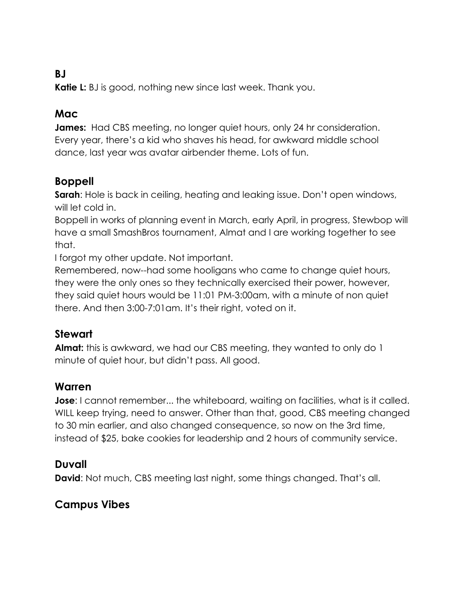#### **BJ**

**Katie L:** BJ is good, nothing new since last week. Thank you.

#### **Mac**

**James:** Had CBS meeting, no longer quiet hours, only 24 hr consideration. Every year, there's a kid who shaves his head, for awkward middle school dance, last year was avatar airbender theme. Lots of fun.

#### **Boppell**

**Sarah**: Hole is back in ceiling, heating and leaking issue. Don't open windows, will let cold in.

Boppell in works of planning event in March, early April, in progress, Stewbop will have a small SmashBros tournament, Almat and I are working together to see that.

I forgot my other update. Not important.

Remembered, now--had some hooligans who came to change quiet hours, they were the only ones so they technically exercised their power, however, they said quiet hours would be 11:01 PM-3:00am, with a minute of non quiet there. And then 3:00-7:01am. It's their right, voted on it.

#### **Stewart**

**Almat:** this is awkward, we had our CBS meeting, they wanted to only do 1 minute of quiet hour, but didn't pass. All good.

#### **Warren**

**Jose**: I cannot remember... the whiteboard, waiting on facilities, what is it called. WILL keep trying, need to answer. Other than that, good, CBS meeting changed to 30 min earlier, and also changed consequence, so now on the 3rd time, instead of \$25, bake cookies for leadership and 2 hours of community service.

#### **Duvall**

**David:** Not much, CBS meeting last night, some things changed. That's all.

#### **Campus Vibes**